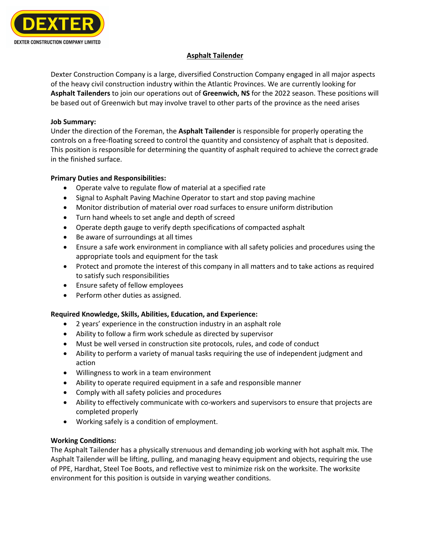

# **Asphalt Tailender**

Dexter Construction Company is a large, diversified Construction Company engaged in all major aspects of the heavy civil construction industry within the Atlantic Provinces. We are currently looking for **Asphalt Tailenders** to join our operations out of **Greenwich, NS** for the 2022 season. These positions will be based out of Greenwich but may involve travel to other parts of the province as the need arises

#### **Job Summary:**

Under the direction of the Foreman, the **Asphalt Tailender** is responsible for properly operating the controls on a free-floating screed to control the quantity and consistency of asphalt that is deposited. This position is responsible for determining the quantity of asphalt required to achieve the correct grade in the finished surface.

## **Primary Duties and Responsibilities:**

- Operate valve to regulate flow of material at a specified rate
- Signal to Asphalt Paving Machine Operator to start and stop paving machine
- Monitor distribution of material over road surfaces to ensure uniform distribution
- Turn hand wheels to set angle and depth of screed
- Operate depth gauge to verify depth specifications of compacted asphalt
- Be aware of surroundings at all times
- Ensure a safe work environment in compliance with all safety policies and procedures using the appropriate tools and equipment for the task
- Protect and promote the interest of this company in all matters and to take actions as required to satisfy such responsibilities
- Ensure safety of fellow employees
- Perform other duties as assigned.

## **Required Knowledge, Skills, Abilities, Education, and Experience:**

- 2 years' experience in the construction industry in an asphalt role
- Ability to follow a firm work schedule as directed by supervisor
- Must be well versed in construction site protocols, rules, and code of conduct
- Ability to perform a variety of manual tasks requiring the use of independent judgment and action
- Willingness to work in a team environment
- Ability to operate required equipment in a safe and responsible manner
- Comply with all safety policies and procedures
- Ability to effectively communicate with co-workers and supervisors to ensure that projects are completed properly
- Working safely is a condition of employment.

## **Working Conditions:**

The Asphalt Tailender has a physically strenuous and demanding job working with hot asphalt mix. The Asphalt Tailender will be lifting, pulling, and managing heavy equipment and objects, requiring the use of PPE, Hardhat, Steel Toe Boots, and reflective vest to minimize risk on the worksite. The worksite environment for this position is outside in varying weather conditions.